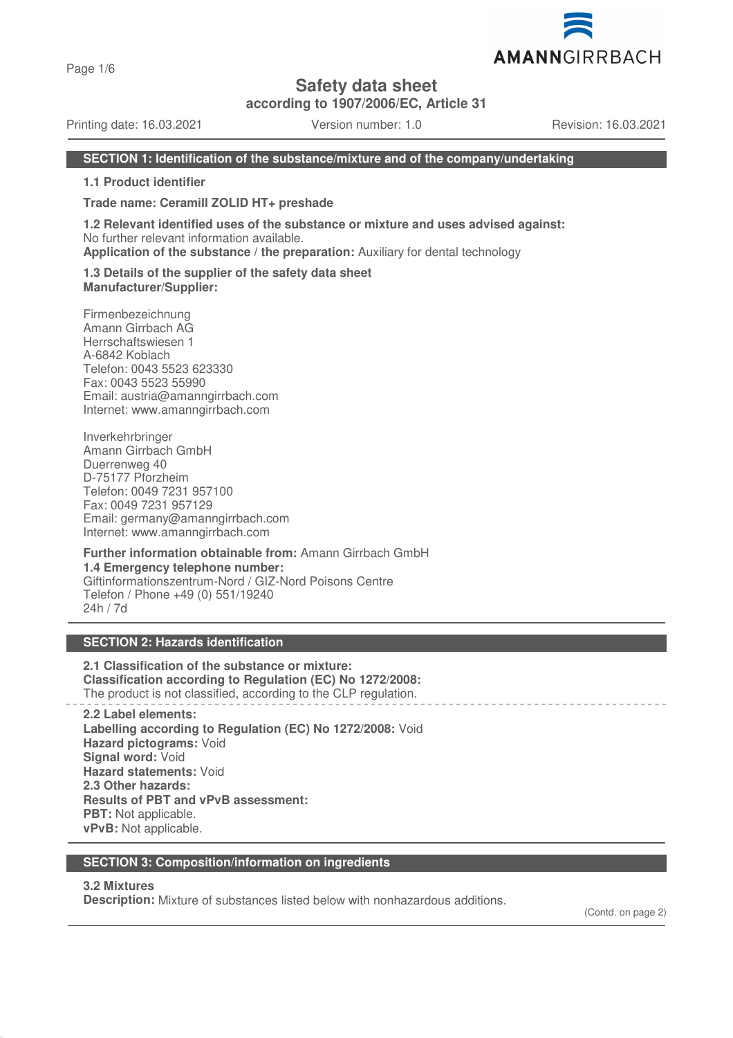Page 1/6

## **Safety data sheet**

**according to 1907/2006/EC, Article 31**

Printing date: 16.03.2021 Version number: 1.0 Revision: 16.03.2021

AMANNGIRRBACH

### **SECTION 1: Identification of the substance/mixture and of the company/undertaking**

**1.1 Product identifier**

**Trade name: Ceramill ZOLID HT+ preshade**

**1.2 Relevant identified uses of the substance or mixture and uses advised against:** No further relevant information available.

**Application of the substance / the preparation:** Auxiliary for dental technology

**1.3 Details of the supplier of the safety data sheet Manufacturer/Supplier:**

Firmenbezeichnung Amann Girrbach AG Herrschaftswiesen 1 A-6842 Koblach Telefon: 0043 5523 623330 Fax: 0043 5523 55990 Email: austria@amanngirrbach.com Internet: www.amanngirrbach.com

Inverkehrbringer Amann Girrbach GmbH Duerrenweg 40 D-75177 Pforzheim Telefon: 0049 7231 957100 Fax: 0049 7231 957129 Email: germany@amanngirrbach.com Internet: www.amanngirrbach.com

**Further information obtainable from:** Amann Girrbach GmbH **1.4 Emergency telephone number:** Giftinformationszentrum-Nord / GIZ-Nord Poisons Centre Telefon / Phone +49 (0) 551/19240 24h / 7d

## **SECTION 2: Hazards identification**

**2.1 Classification of the substance or mixture: Classification according to Regulation (EC) No 1272/2008:** The product is not classified, according to the CLP regulation.

**2.2 Label elements: Labelling according to Regulation (EC) No 1272/2008:** Void **Hazard pictograms:** Void **Signal word:** Void **Hazard statements:** Void **2.3 Other hazards: Results of PBT and vPvB assessment: PBT:** Not applicable. **vPvB:** Not applicable.

### **SECTION 3: Composition/information on ingredients**

### **3.2 Mixtures**

**Description:** Mixture of substances listed below with nonhazardous additions.

(Contd. on page 2)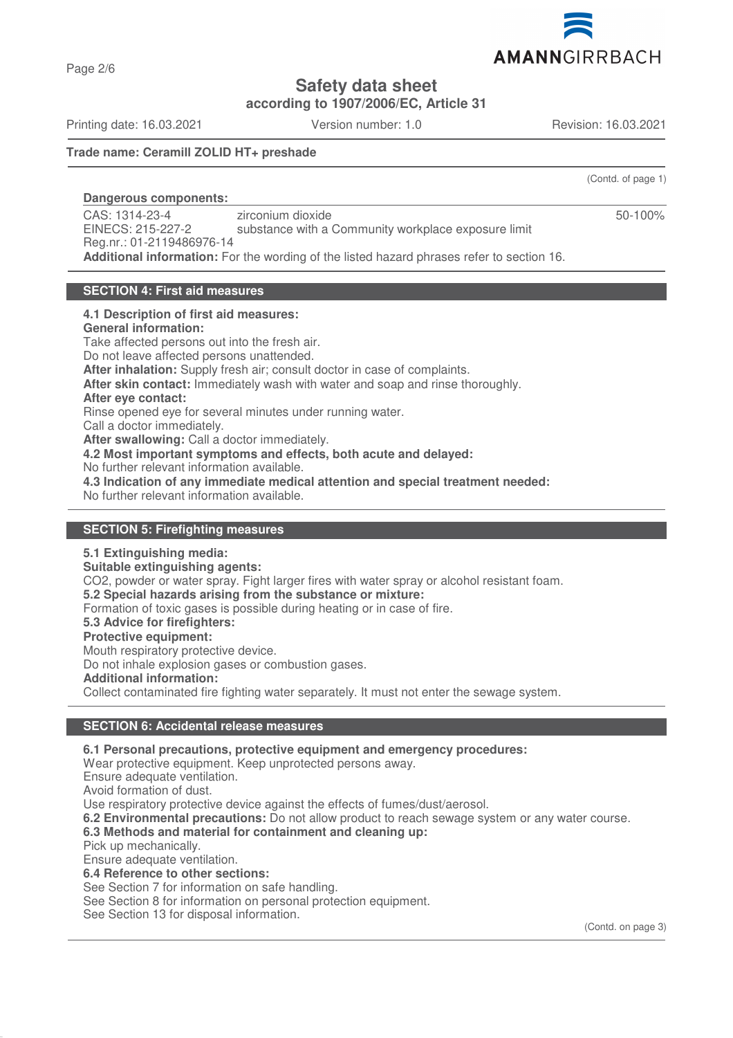

**Safety data sheet**

**according to 1907/2006/EC, Article 31**

Printing date: 16.03.2021 Version number: 1.0 Revision: 16.03.2021

(Contd. of page 1)

50-100%

### **Trade name: Ceramill ZOLID HT+ preshade**

### **Dangerous components:**

CAS: 1314-23-4 EINECS: 215-227-2 Reg.nr.: 01-2119486976-14 zirconium dioxide substance with a Community workplace exposure limit **Additional information:** For the wording of the listed hazard phrases refer to section 16.

### **SECTION 4: First aid measures**

### **4.1 Description of first aid measures:**

#### **General information:**

Take affected persons out into the fresh air. Do not leave affected persons unattended. **After inhalation:** Supply fresh air; consult doctor in case of complaints. **After skin contact:** Immediately wash with water and soap and rinse thoroughly. **After eye contact:** Rinse opened eye for several minutes under running water. Call a doctor immediately. **After swallowing:** Call a doctor immediately. **4.2 Most important symptoms and effects, both acute and delayed:** No further relevant information available. **4.3 Indication of any immediate medical attention and special treatment needed:** No further relevant information available.

### **SECTION 5: Firefighting measures**

### **5.1 Extinguishing media:**

**Suitable extinguishing agents:** CO2, powder or water spray. Fight larger fires with water spray or alcohol resistant foam. **5.2 Special hazards arising from the substance or mixture:** Formation of toxic gases is possible during heating or in case of fire. **5.3 Advice for firefighters: Protective equipment:** Mouth respiratory protective device.

Do not inhale explosion gases or combustion gases.

### **Additional information:**

Collect contaminated fire fighting water separately. It must not enter the sewage system.

### **SECTION 6: Accidental release measures**

### **6.1 Personal precautions, protective equipment and emergency procedures:**

Wear protective equipment. Keep unprotected persons away.

Ensure adequate ventilation.

Avoid formation of dust.

Use respiratory protective device against the effects of fumes/dust/aerosol.

**6.2 Environmental precautions:** Do not allow product to reach sewage system or any water course.

## **6.3 Methods and material for containment and cleaning up:**

Pick up mechanically.

Ensure adequate ventilation.

## **6.4 Reference to other sections:**

See Section 7 for information on safe handling.

See Section 8 for information on personal protection equipment.

See Section 13 for disposal information.

(Contd. on page 3)



Page 2/6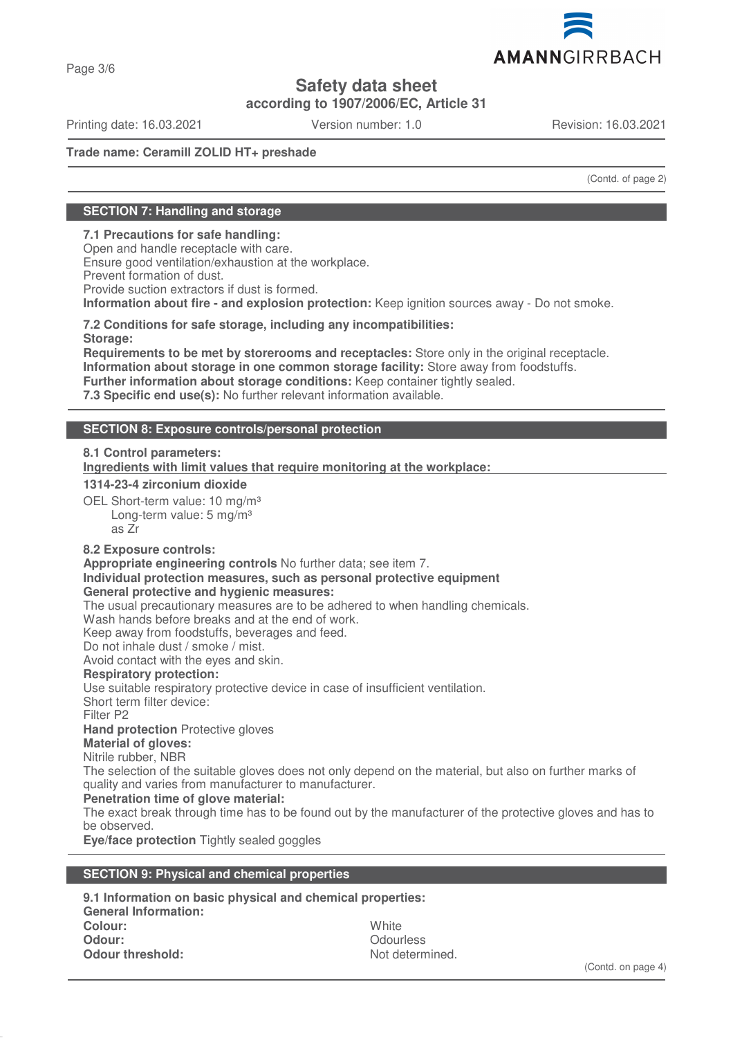

Page 3/6

# **Safety data sheet**

**according to 1907/2006/EC, Article 31**

Printing date: 16.03.2021 Version number: 1.0 Revision: 16.03.2021

## **Trade name: Ceramill ZOLID HT+ preshade**

(Contd. of page 2)

## **SECTION 7: Handling and storage**

## **7.1 Precautions for safe handling:**

Open and handle receptacle with care. Ensure good ventilation/exhaustion at the workplace. Prevent formation of dust. Provide suction extractors if dust is formed. **Information about fire - and explosion protection:** Keep ignition sources away - Do not smoke.

**7.2 Conditions for safe storage, including any incompatibilities: Storage:**

**Requirements to be met by storerooms and receptacles:** Store only in the original receptacle. **Information about storage in one common storage facility:** Store away from foodstuffs. **Further information about storage conditions:** Keep container tightly sealed. **7.3 Specific end use(s):** No further relevant information available.

### **SECTION 8: Exposure controls/personal protection**

### **8.1 Control parameters:**

**Ingredients with limit values that require monitoring at the workplace:** 

## **1314-23-4 zirconium dioxide**

OEL Short-term value: 10 mg/m<sup>3</sup> Long-term value: 5 mg/m<sup>3</sup> as Zr

### **8.2 Exposure controls:**

**Appropriate engineering controls** No further data; see item 7.

# **Individual protection measures, such as personal protective equipment**

**General protective and hygienic measures:**

The usual precautionary measures are to be adhered to when handling chemicals.

Wash hands before breaks and at the end of work.

Keep away from foodstuffs, beverages and feed.

Do not inhale dust / smoke / mist.

Avoid contact with the eyes and skin.

### **Respiratory protection:**

Use suitable respiratory protective device in case of insufficient ventilation.

Short term filter device:

Filter P2

### **Hand protection** Protective gloves

**Material of gloves:**

Nitrile rubber, NBR

The selection of the suitable gloves does not only depend on the material, but also on further marks of quality and varies from manufacturer to manufacturer.

### **Penetration time of glove material:**

The exact break through time has to be found out by the manufacturer of the protective gloves and has to be observed.

**Eye/face protection** Tightly sealed goggles

### **SECTION 9: Physical and chemical properties**

**9.1 Information on basic physical and chemical properties: General Information: Colour:** White **Odour:** Odourless **Odour threshold:** Not determined.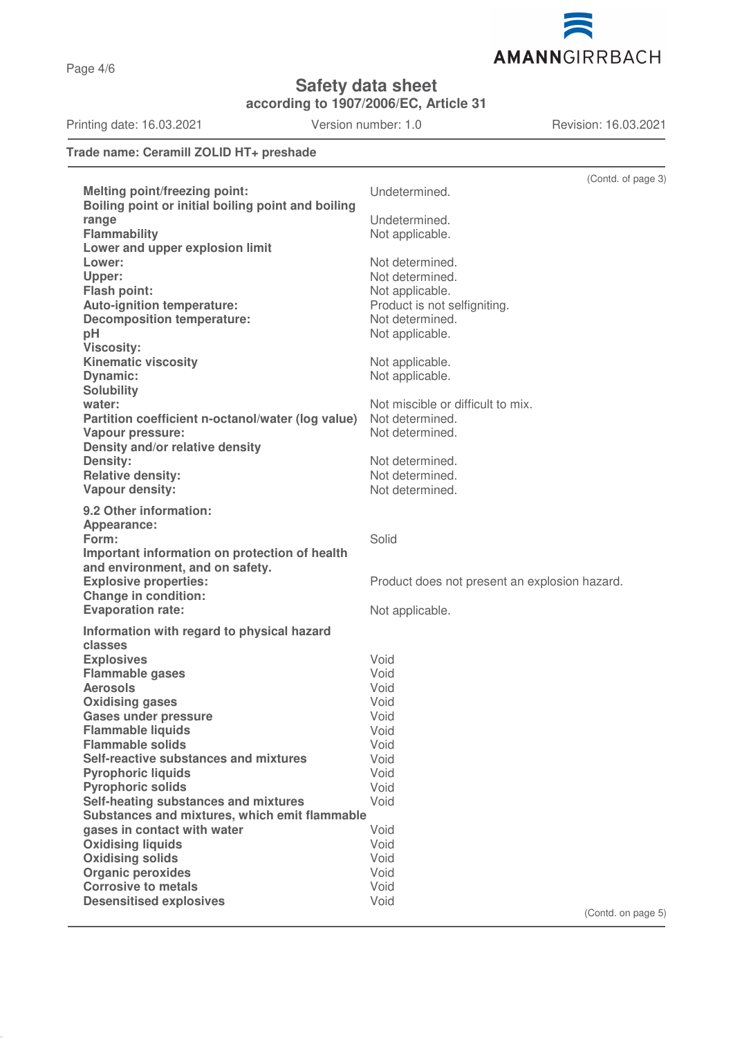

**Safety data sheet**

**according to 1907/2006/EC, Article 31**

Printing date: 16.03.2021 Version number: 1.0 Revision: 16.03.2021

## **Trade name: Ceramill ZOLID HT+ preshade**

|                                                                                  | (Contd. of page 3)                            |
|----------------------------------------------------------------------------------|-----------------------------------------------|
| <b>Melting point/freezing point:</b>                                             | Undetermined.                                 |
| Boiling point or initial boiling point and boiling                               |                                               |
| range                                                                            | Undetermined.                                 |
| <b>Flammability</b>                                                              | Not applicable.                               |
| Lower and upper explosion limit                                                  |                                               |
| Lower:                                                                           | Not determined.                               |
| Upper:                                                                           | Not determined.                               |
| <b>Flash point:</b>                                                              | Not applicable.                               |
| Auto-ignition temperature:                                                       | Product is not selfigniting.                  |
| <b>Decomposition temperature:</b>                                                | Not determined.                               |
| pH                                                                               | Not applicable.                               |
| <b>Viscosity:</b>                                                                |                                               |
| <b>Kinematic viscosity</b>                                                       | Not applicable.                               |
| <b>Dynamic:</b>                                                                  | Not applicable.                               |
| <b>Solubility</b>                                                                |                                               |
| water:                                                                           | Not miscible or difficult to mix.             |
| Partition coefficient n-octanol/water (log value)                                | Not determined.                               |
| <b>Vapour pressure:</b>                                                          | Not determined.                               |
| Density and/or relative density                                                  |                                               |
| Density:                                                                         | Not determined.                               |
| <b>Relative density:</b>                                                         | Not determined.                               |
| Vapour density:                                                                  | Not determined.                               |
| 9.2 Other information:                                                           |                                               |
|                                                                                  |                                               |
| Appearance:<br>Form:                                                             |                                               |
|                                                                                  | Solid                                         |
| Important information on protection of health<br>and environment, and on safety. |                                               |
| <b>Explosive properties:</b>                                                     |                                               |
| <b>Change in condition:</b>                                                      | Product does not present an explosion hazard. |
| <b>Evaporation rate:</b>                                                         | Not applicable.                               |
|                                                                                  |                                               |
| Information with regard to physical hazard                                       |                                               |
| classes                                                                          |                                               |
| <b>Explosives</b>                                                                | Void                                          |
| <b>Flammable gases</b>                                                           | Void                                          |
| <b>Aerosols</b>                                                                  | Void                                          |
| <b>Oxidising gases</b>                                                           | Void                                          |
| <b>Gases under pressure</b>                                                      | Void                                          |
| <b>Flammable liquids</b>                                                         | Void                                          |
| <b>Flammable solids</b><br>Self-reactive substances and mixtures                 | Void<br>Void                                  |
|                                                                                  | Void                                          |
| <b>Pyrophoric liquids</b>                                                        | Void                                          |
| <b>Pyrophoric solids</b><br>Self-heating substances and mixtures                 | Void                                          |
| Substances and mixtures, which emit flammable                                    |                                               |
| gases in contact with water                                                      | Void                                          |
| <b>Oxidising liquids</b>                                                         | Void                                          |
| <b>Oxidising solids</b>                                                          | Void                                          |
| <b>Organic peroxides</b>                                                         | Void                                          |
| <b>Corrosive to metals</b>                                                       | Void                                          |
| <b>Desensitised explosives</b>                                                   | Void                                          |
|                                                                                  | (Contd. on page 5)                            |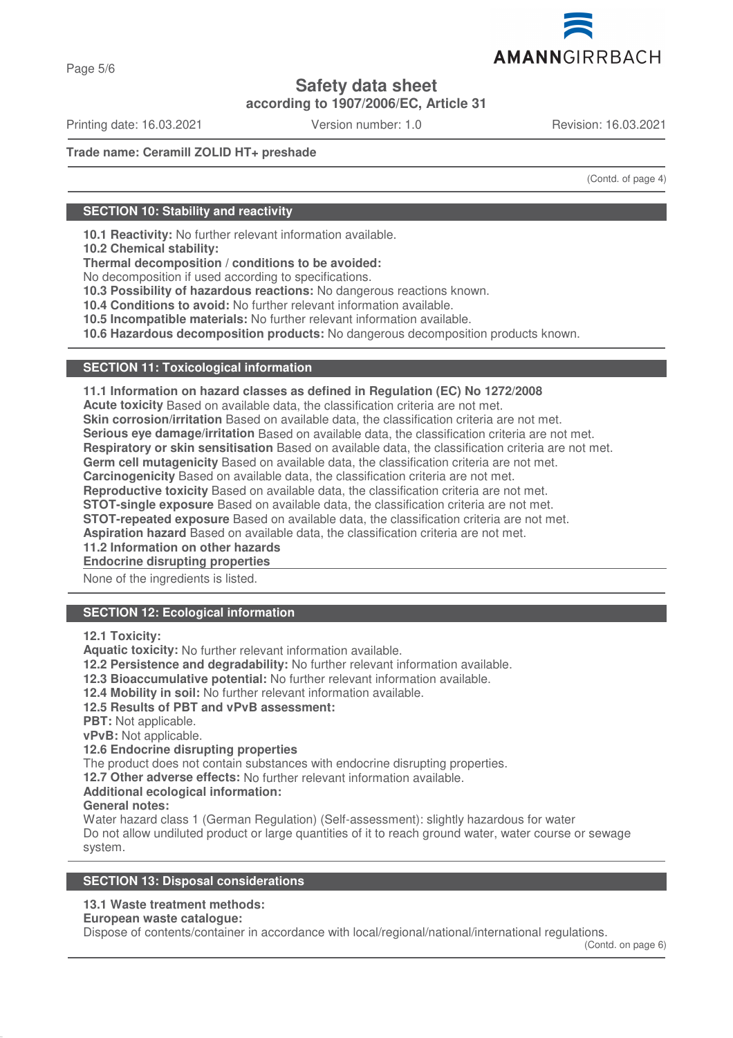

Page 5/6

# **Safety data sheet**

**according to 1907/2006/EC, Article 31**

Printing date: 16.03.2021 Version number: 1.0 Revision: 16.03.2021

## **Trade name: Ceramill ZOLID HT+ preshade**

(Contd. of page 4)

## **SECTION 10: Stability and reactivity**

**10.1 Reactivity:** No further relevant information available.

**10.2 Chemical stability:**

**Thermal decomposition / conditions to be avoided:**

No decomposition if used according to specifications.

**10.3 Possibility of hazardous reactions:** No dangerous reactions known.

**10.4 Conditions to avoid:** No further relevant information available.

**10.5 Incompatible materials:** No further relevant information available.

**10.6 Hazardous decomposition products:** No dangerous decomposition products known.

### **SECTION 11: Toxicological information**

**11.1 Information on hazard classes as defined in Regulation (EC) No 1272/2008**

**Acute toxicity** Based on available data, the classification criteria are not met.

**Skin corrosion/irritation** Based on available data, the classification criteria are not met.

**Serious eye damage/irritation** Based on available data, the classification criteria are not met.

**Respiratory or skin sensitisation** Based on available data, the classification criteria are not met.

**Germ cell mutagenicity** Based on available data, the classification criteria are not met.

**Carcinogenicity** Based on available data, the classification criteria are not met.

**Reproductive toxicity** Based on available data, the classification criteria are not met.

**STOT-single exposure** Based on available data, the classification criteria are not met.

**STOT-repeated exposure** Based on available data, the classification criteria are not met.

**Aspiration hazard** Based on available data, the classification criteria are not met.

**11.2 Information on other hazards**

**Endocrine disrupting properties** 

None of the ingredients is listed.

## **SECTION 12: Ecological information**

**12.1 Toxicity:**

**Aquatic toxicity:** No further relevant information available.

**12.2 Persistence and degradability:** No further relevant information available.

**12.3 Bioaccumulative potential:** No further relevant information available.

**12.4 Mobility in soil:** No further relevant information available.

## **12.5 Results of PBT and vPvB assessment:**

**PBT:** Not applicable.

**vPvB:** Not applicable.

### **12.6 Endocrine disrupting properties**

The product does not contain substances with endocrine disrupting properties.

**12.7 Other adverse effects:** No further relevant information available.

### **Additional ecological information:**

### **General notes:**

Water hazard class 1 (German Regulation) (Self-assessment): slightly hazardous for water Do not allow undiluted product or large quantities of it to reach ground water, water course or sewage system.

### **SECTION 13: Disposal considerations**

## **13.1 Waste treatment methods:**

**European waste catalogue:**

Dispose of contents/container in accordance with local/regional/national/international regulations.